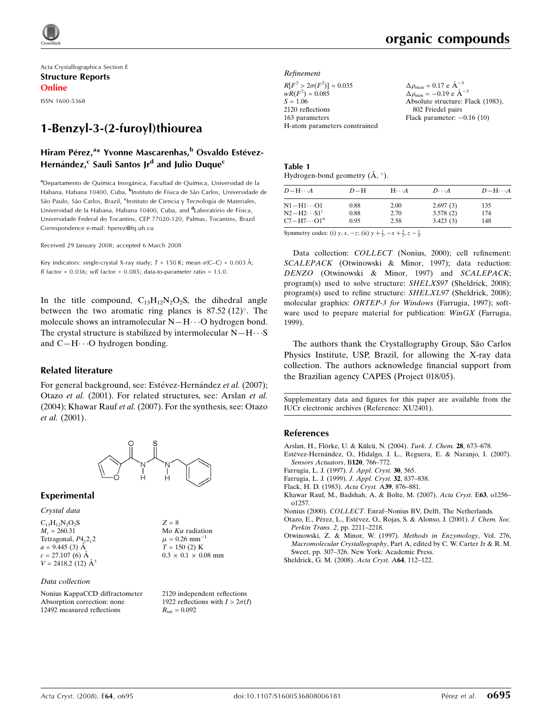

Acta Crystallographica Section E Structure Reports Online

ISSN 1600-5368

# 1-Benzyl-3-(2-furoyl)thiourea

# Hiram Pérez,<sup>a</sup>\* Yvonne Mascarenhas,<sup>b</sup> Osvaldo Estévez-Hernández,<sup>c</sup> Sauli Santos Jr<sup>d</sup> and Julio Duque<sup>c</sup>

a<br>Departamento de Química Inorgánica, Facultad de Química, Universidad de la Habana, Habana 10400, Cuba, <sup>b</sup>Instituto de Física de São Carlos, Universidade de São Paulo, São Carlos, Brazil, <sup>c</sup>Instituto de Ciencia y Tecnología de Materiales, Universidad de la Habana, Habana 10400, Cuba, and <sup>d</sup>Laboratório de Física, Universidade Federal do Tocantins, CEP 77020-120, Palmas, Tocantins, Brazil Correspondence e-mail: hperez@fq.uh.cu

Received 29 January 2008; accepted 6 March 2008

Key indicators: single-crystal X-ray study;  $T = 150$  K; mean  $\sigma$ (C–C) = 0.003 Å; R factor =  $0.036$ ; wR factor =  $0.085$ ; data-to-parameter ratio = 13.0.

In the title compound,  $C_{13}H_{12}N_2O_2S$ , the dihedral angle between the two aromatic ring planes is  $87.52 \,(12)^{\circ}$ . The molecule shows an intramolecular N-H $\cdots$ O hydrogen bond. The crystal structure is stabilized by intermolecular  $N-H\cdots S$ and C-H···O hydrogen bonding.

### Related literature

For general background, see: Estévez-Hernández et al. (2007); Otazo et al. (2001). For related structures, see: Arslan et al. (2004); Khawar Rauf et al. (2007). For the synthesis, see: Otazo et al. (2001).



### Experimental

#### Crystal data

 $C_{13}H_{12}N_2O_2S$  $M_r = 260.31$ Tetragonal,  $P4<sub>1</sub>2<sub>1</sub>2$  $a = 9.445(3)$  Å  $c = 27.107(6)$  Å  $V = 2418.2$  (12)  $\AA$ <sup>3</sup>

#### Data collection

Nonius KappaCCD diffractometer Absorption correction: none 12492 measured reflections

 $Z = 8$ Mo  $K\alpha$  radiation  $\mu$  = 0.26 mm<sup>-1</sup>  $T = 150$  (2) K  $0.3\,\times\,0.1\,\times\,0.08$  mm

2120 independent reflections 1922 reflections with  $I > 2\sigma(I)$  $R_{\text{int}} = 0.092$ 

#### Refinement

| $R[F^2 > 2\sigma(F^2)] = 0.035$ | $\Delta \rho_{\rm max}$ = |
|---------------------------------|---------------------------|
| $wR(F^2) = 0.085$               | $\Delta \rho_{\rm min} =$ |
| $S = 1.06$                      | Absolute                  |
| 2120 reflections                | 802 Fr                    |
| 163 parameters                  | Flack pa:                 |
| H-atom parameters constrained   |                           |
|                                 |                           |

 $0.17$ e $\mbox{\AA}^{-3}$  $-0.19$  e  $\rm{\AA}^{-3}$ structure: Flack (1983), iedel pairs rameter:  $-0.16$  (10)

| Table 1                                            |  |
|----------------------------------------------------|--|
| Hydrogen-bond geometry $(\mathring{A}, \degree)$ . |  |

| $D - H \cdots A$         | $D-H$ | $H\cdots A$ | $D\cdots A$ | $D - H \cdots A$ |
|--------------------------|-------|-------------|-------------|------------------|
| $N1 - H1 \cdots 01$      | 0.88  | 2.00        | 2.697(3)    | 135              |
| $N2-H2\cdots S1^i$       | 0.88  | 2.70        | 3.578(2)    | 174              |
| $C7 - H7 \cdots O1^{ii}$ | 0.95  | 2.58        | 3.423(3)    | 148              |

Symmetry codes: (i)  $y, x, -z$ ; (ii)  $y + \frac{1}{2}, -x + \frac{3}{2}, z - \frac{1}{4}$ .

Data collection: COLLECT (Nonius, 2000); cell refinement: SCALEPACK (Otwinowski & Minor, 1997); data reduction: DENZO (Otwinowski & Minor, 1997) and SCALEPACK; program(s) used to solve structure: SHELXS97 (Sheldrick, 2008); program(s) used to refine structure: SHELXL97 (Sheldrick, 2008); molecular graphics: ORTEP-3 for Windows (Farrugia, 1997); software used to prepare material for publication: *WinGX* (Farrugia, 1999).

The authors thank the Crystallography Group, São Carlos Physics Institute, USP, Brazil, for allowing the X-ray data collection. The authors acknowledge financial support from the Brazilian agency CAPES (Project 018/05).

Supplementary data and figures for this paper are available from the IUCr electronic archives (Reference: XU2401).

### References

- Arslan, H., Flörke, U. & Külcü, N. (2004). Turk. J. Chem. 28, 673-678.
- Estévez-Hernández, O., Hidalgo, J. L., Reguera, E. & Naranjo, I. (2007). [Sensors Actuators](https://scripts.iucr.org/cgi-bin/cr.cgi?rm=pdfbb&cnor=xu2401&bbid=BB3), B120, 766-772.
- [Farrugia, L. J. \(1997\).](https://scripts.iucr.org/cgi-bin/cr.cgi?rm=pdfbb&cnor=xu2401&bbid=BB4) J. Appl. Cryst. 30, 565.
- [Farrugia, L. J. \(1999\).](https://scripts.iucr.org/cgi-bin/cr.cgi?rm=pdfbb&cnor=xu2401&bbid=BB5) J. Appl. Cryst. 32, 837–838.
- [Flack, H. D. \(1983\).](https://scripts.iucr.org/cgi-bin/cr.cgi?rm=pdfbb&cnor=xu2401&bbid=BB6) Acta Cryst. A39, 876–881.
- [Khawar Rauf, M., Badshah, A. & Bolte, M. \(2007\).](https://scripts.iucr.org/cgi-bin/cr.cgi?rm=pdfbb&cnor=xu2401&bbid=BB7) Acta Cryst. E63, o1256– [o1257.](https://scripts.iucr.org/cgi-bin/cr.cgi?rm=pdfbb&cnor=xu2401&bbid=BB7)
- Nonius (2000). COLLECT[. Enraf–Nonius BV, Delft, The Netherlands.](https://scripts.iucr.org/cgi-bin/cr.cgi?rm=pdfbb&cnor=xu2401&bbid=BB2)
- Otazo, E., Pérez, L., Estévez, O., Rojas, S. & Alonso, J. (2001). J. Chem. Soc. Perkin Trans. 2[, pp. 2211–2218.](https://scripts.iucr.org/cgi-bin/cr.cgi?rm=pdfbb&cnor=xu2401&bbid=BB8)
- [Otwinowski, Z. & Minor, W. \(1997\).](https://scripts.iucr.org/cgi-bin/cr.cgi?rm=pdfbb&cnor=xu2401&bbid=BB9) Methods in Enzymology, Vol. 276, Macromolecular Crystallography[, Part A, edited by C. W. Carter Jr & R. M.](https://scripts.iucr.org/cgi-bin/cr.cgi?rm=pdfbb&cnor=xu2401&bbid=BB9) [Sweet, pp. 307–326. New York: Academic Press.](https://scripts.iucr.org/cgi-bin/cr.cgi?rm=pdfbb&cnor=xu2401&bbid=BB9)
- [Sheldrick, G. M. \(2008\).](https://scripts.iucr.org/cgi-bin/cr.cgi?rm=pdfbb&cnor=xu2401&bbid=BB10) Acta Cryst. A64, 112–122.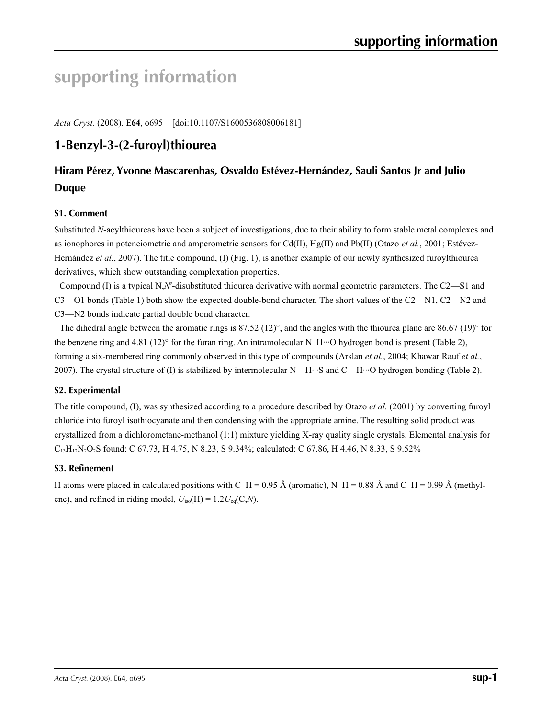# **supporting information**

*Acta Cryst.* (2008). E**64**, o695 [doi:10.1107/S1600536808006181]

# **1-Benzyl-3-(2-furoyl)thiourea**

# **Hiram Pérez, Yvonne Mascarenhas, Osvaldo Estévez-Hernández, Sauli Santos Jr and Julio Duque**

# **S1. Comment**

Substituted *N*-acylthioureas have been a subject of investigations, due to their ability to form stable metal complexes and as ionophores in potenciometric and amperometric sensors for Cd(II), Hg(II) and Pb(II) (Otazo *et al.*, 2001; Estévez-Hernández *et al.*, 2007). The title compound, (I) (Fig. 1), is another example of our newly synthesized furoylthiourea derivatives, which show outstanding complexation properties.

Compound (I) is a typical N,*N*′-disubstituted thiourea derivative with normal geometric parameters. The C2—S1 and C3—O1 bonds (Table 1) both show the expected double-bond character. The short values of the C2—N1, C2—N2 and C3—N2 bonds indicate partial double bond character.

The dihedral angle between the aromatic rings is 87.52 (12)°, and the angles with the thiourea plane are 86.67 (19)° for the benzene ring and 4.81 (12)<sup>°</sup> for the furan ring. An intramolecular N–H $\cdot$ ··O hydrogen bond is present (Table 2), forming a six-membered ring commonly observed in this type of compounds (Arslan *et al.*, 2004; Khawar Rauf *et al.*, 2007). The crystal structure of (I) is stabilized by intermolecular N—H···S and C—H···O hydrogen bonding (Table 2).

# **S2. Experimental**

The title compound, (I), was synthesized according to a procedure described by Otazo *et al.* (2001) by converting furoyl chloride into furoyl isothiocyanate and then condensing with the appropriate amine. The resulting solid product was crystallized from a dichlorometane-methanol (1:1) mixture yielding X-ray quality single crystals. Elemental analysis for C13H12N2O2S found: C 67.73, H 4.75, N 8.23, S 9.34%; calculated: C 67.86, H 4.46, N 8.33, S 9.52%

# **S3. Refinement**

H atoms were placed in calculated positions with C–H = 0.95 Å (aromatic), N–H = 0.88 Å and C–H = 0.99 Å (methylene), and refined in riding model,  $U_{\text{iso}}(H) = 1.2 U_{\text{eq}}(C, N)$ .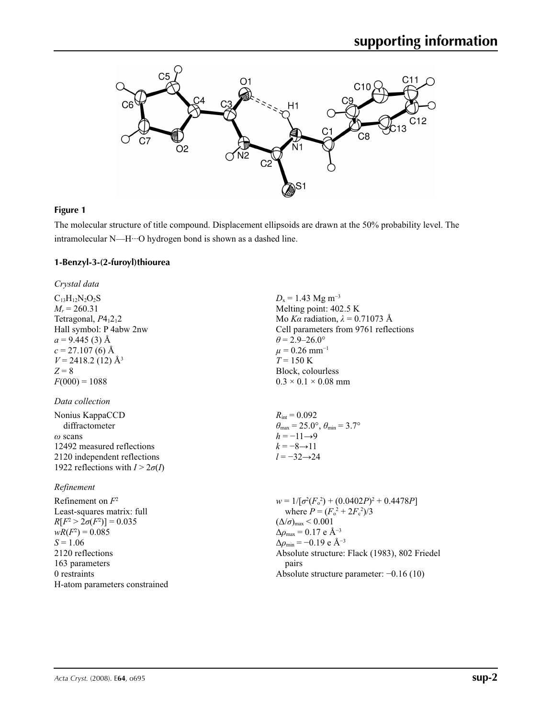

### **Figure 1**

The molecular structure of title compound. Displacement ellipsoids are drawn at the 50% probability level. The intramolecular N—H···O hydrogen bond is shown as a dashed line.

### **1-Benzyl-3-(2-furoyl)thiourea**

*Crystal data*

 $C_{13}H_{12}N_2O_2S$  $M_r = 260.31$ Tetragonal,  $P4<sub>1</sub>2<sub>1</sub>2$ Hall symbol: P 4abw 2nw  $a = 9.445(3)$  Å  $c = 27.107(6)$  Å  $V = 2418.2$  (12) Å<sup>3</sup> *Z* = 8  $F(000) = 1088$ 

### *Data collection*

| Nonius KappaCCD                        |
|----------------------------------------|
| diffractometer                         |
| $\omega$ scans                         |
| 12492 measured reflections             |
| 2120 independent reflections           |
| 1922 reflections with $I > 2\sigma(I)$ |

### *Refinement*

Refinement on *F*<sup>2</sup> Least-squares matrix: full *R*[ $F^2 > 2\sigma(F^2)$ ] = 0.035  $wR(F^2) = 0.085$ *S* = 1.06 2120 reflections 163 parameters 0 restraints H-atom parameters constrained  $D_x = 1.43$  Mg m<sup>-3</sup> Melting point: 402.5 K Mo *Kα* radiation,  $\lambda = 0.71073$  Å Cell parameters from 9761 reflections  $\theta$  = 2.9–26.0°  $\mu$  = 0.26 mm<sup>-1</sup>  $T = 150 K$ Block, colourless  $0.3 \times 0.1 \times 0.08$  mm  $R_{\text{int}} = 0.092$  $\theta_{\text{max}} = 25.0^{\circ}, \theta_{\text{min}} = 3.7^{\circ}$ 

$$
h = -11 \rightarrow 9
$$
  

$$
k = -8 \rightarrow 11
$$
  

$$
l = -32 \rightarrow 24
$$

 $w = 1/[\sigma^2 (F_o^2) + (0.0402P)^2 + 0.4478P]$ where  $P = (F_o^2 + 2F_c^2)/3$  $(\Delta/\sigma)_{\text{max}}$  < 0.001 Δ*ρ*max = 0.17 e Å−3  $\Delta\rho_{\text{min}} = -0.19$  e Å<sup>-3</sup> Absolute structure: Flack (1983), 802 Friedel pairs Absolute structure parameter: −0.16 (10)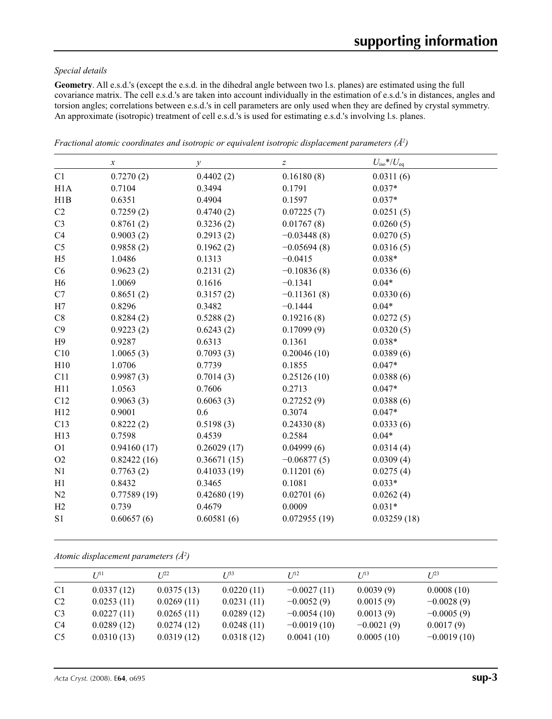### *Special details*

**Geometry**. All e.s.d.'s (except the e.s.d. in the dihedral angle between two l.s. planes) are estimated using the full covariance matrix. The cell e.s.d.'s are taken into account individually in the estimation of e.s.d.'s in distances, angles and torsion angles; correlations between e.s.d.'s in cell parameters are only used when they are defined by crystal symmetry. An approximate (isotropic) treatment of cell e.s.d.'s is used for estimating e.s.d.'s involving l.s. planes.

|                | $\boldsymbol{\chi}$ | $\mathcal{Y}$ | $\boldsymbol{Z}$ | $U_{\text{iso}}$ */ $U_{\text{eq}}$ |
|----------------|---------------------|---------------|------------------|-------------------------------------|
| C1             | 0.7270(2)           | 0.4402(2)     | 0.16180(8)       | 0.0311(6)                           |
| H1A            | 0.7104              | 0.3494        | 0.1791           | $0.037*$                            |
| H1B            | 0.6351              | 0.4904        | 0.1597           | $0.037*$                            |
| C2             | 0.7259(2)           | 0.4740(2)     | 0.07225(7)       | 0.0251(5)                           |
| C <sub>3</sub> | 0.8761(2)           | 0.3236(2)     | 0.01767(8)       | 0.0260(5)                           |
| C <sub>4</sub> | 0.9003(2)           | 0.2913(2)     | $-0.03448(8)$    | 0.0270(5)                           |
| C <sub>5</sub> | 0.9858(2)           | 0.1962(2)     | $-0.05694(8)$    | 0.0316(5)                           |
| H <sub>5</sub> | 1.0486              | 0.1313        | $-0.0415$        | $0.038*$                            |
| C6             | 0.9623(2)           | 0.2131(2)     | $-0.10836(8)$    | 0.0336(6)                           |
| H <sub>6</sub> | 1.0069              | 0.1616        | $-0.1341$        | $0.04*$                             |
| C7             | 0.8651(2)           | 0.3157(2)     | $-0.11361(8)$    | 0.0330(6)                           |
| H7             | 0.8296              | 0.3482        | $-0.1444$        | $0.04*$                             |
| C8             | 0.8284(2)           | 0.5288(2)     | 0.19216(8)       | 0.0272(5)                           |
| C9             | 0.9223(2)           | 0.6243(2)     | 0.17099(9)       | 0.0320(5)                           |
| H9             | 0.9287              | 0.6313        | 0.1361           | $0.038*$                            |
| C10            | 1.0065(3)           | 0.7093(3)     | 0.20046(10)      | 0.0389(6)                           |
| H10            | 1.0706              | 0.7739        | 0.1855           | $0.047*$                            |
| C11            | 0.9987(3)           | 0.7014(3)     | 0.25126(10)      | 0.0388(6)                           |
| H11            | 1.0563              | 0.7606        | 0.2713           | $0.047*$                            |
| C12            | 0.9063(3)           | 0.6063(3)     | 0.27252(9)       | 0.0388(6)                           |
| H12            | 0.9001              | 0.6           | 0.3074           | $0.047*$                            |
| C13            | 0.8222(2)           | 0.5198(3)     | 0.24330(8)       | 0.0333(6)                           |
| H13            | 0.7598              | 0.4539        | 0.2584           | $0.04*$                             |
| O <sub>1</sub> | 0.94160(17)         | 0.26029(17)   | 0.04999(6)       | 0.0314(4)                           |
| O2             | 0.82422(16)         | 0.36671(15)   | $-0.06877(5)$    | 0.0309(4)                           |
| N1             | 0.7763(2)           | 0.41033(19)   | 0.11201(6)       | 0.0275(4)                           |
| H1             | 0.8432              | 0.3465        | 0.1081           | $0.033*$                            |
| N2             | 0.77589(19)         | 0.42680(19)   | 0.02701(6)       | 0.0262(4)                           |
| H2             | 0.739               | 0.4679        | 0.0009           | $0.031*$                            |
| S1             | 0.60657(6)          | 0.60581(6)    | 0.072955(19)     | 0.03259(18)                         |

*Fractional atomic coordinates and isotropic or equivalent isotropic displacement parameters (Å<sup>2</sup>)* 

*Atomic displacement parameters (Å2 )*

|                | $U^{11}$   | $I^{22}$   | I 1 <sup>33</sup> | I/12          | $I^{13}$     | $I^{23}$      |
|----------------|------------|------------|-------------------|---------------|--------------|---------------|
| C <sub>1</sub> | 0.0337(12) | 0.0375(13) | 0.0220(11)        | $-0.0027(11)$ | 0.0039(9)    | 0.0008(10)    |
| C <sub>2</sub> | 0.0253(11) | 0.0269(11) | 0.0231(11)        | $-0.0052(9)$  | 0.0015(9)    | $-0.0028(9)$  |
| C <sub>3</sub> | 0.0227(11) | 0.0265(11) | 0.0289(12)        | $-0.0054(10)$ | 0.0013(9)    | $-0.0005(9)$  |
| C4             | 0.0289(12) | 0.0274(12) | 0.0248(11)        | $-0.0019(10)$ | $-0.0021(9)$ | 0.0017(9)     |
| C <sub>5</sub> | 0.0310(13) | 0.0319(12) | 0.0318(12)        | 0.0041(10)    | 0.0005(10)   | $-0.0019(10)$ |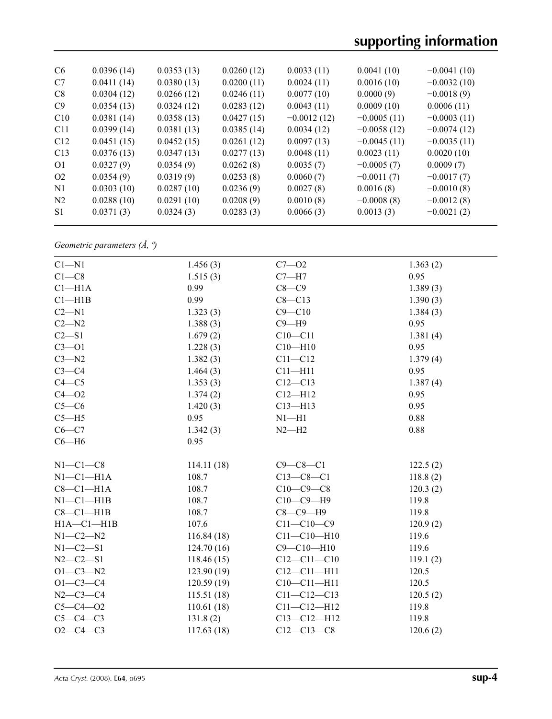| C <sub>6</sub>  | 0.0396(14) | 0.0353(13) | 0.0260(12) | 0.0033(11)    | 0.0041(10)    | $-0.0041(10)$ |
|-----------------|------------|------------|------------|---------------|---------------|---------------|
| C7              | 0.0411(14) | 0.0380(13) | 0.0200(11) | 0.0024(11)    | 0.0016(10)    | $-0.0032(10)$ |
| C8              | 0.0304(12) | 0.0266(12) | 0.0246(11) | 0.0077(10)    | 0.0000(9)     | $-0.0018(9)$  |
| C9              | 0.0354(13) | 0.0324(12) | 0.0283(12) | 0.0043(11)    | 0.0009(10)    | 0.0006(11)    |
| C10             | 0.0381(14) | 0.0358(13) | 0.0427(15) | $-0.0012(12)$ | $-0.0005(11)$ | $-0.0003(11)$ |
| C <sub>11</sub> | 0.0399(14) | 0.0381(13) | 0.0385(14) | 0.0034(12)    | $-0.0058(12)$ | $-0.0074(12)$ |
| C12             | 0.0451(15) | 0.0452(15) | 0.0261(12) | 0.0097(13)    | $-0.0045(11)$ | $-0.0035(11)$ |
| C13             | 0.0376(13) | 0.0347(13) | 0.0277(13) | 0.0048(11)    | 0.0023(11)    | 0.0020(10)    |
| O <sub>1</sub>  | 0.0327(9)  | 0.0354(9)  | 0.0262(8)  | 0.0035(7)     | $-0.0005(7)$  | 0.0009(7)     |
| O <sub>2</sub>  | 0.0354(9)  | 0.0319(9)  | 0.0253(8)  | 0.0060(7)     | $-0.0011(7)$  | $-0.0017(7)$  |
| N <sub>1</sub>  | 0.0303(10) | 0.0287(10) | 0.0236(9)  | 0.0027(8)     | 0.0016(8)     | $-0.0010(8)$  |
| N <sub>2</sub>  | 0.0288(10) | 0.0291(10) | 0.0208(9)  | 0.0010(8)     | $-0.0008(8)$  | $-0.0012(8)$  |
| S <sub>1</sub>  | 0.0371(3)  | 0.0324(3)  | 0.0283(3)  | 0.0066(3)     | 0.0013(3)     | $-0.0021(2)$  |
|                 |            |            |            |               |               |               |

*Geometric parameters (Å, º)*

| $C1 - N1$        | 1.456(3)    | $C7 - O2$         | 1.363(2) |  |
|------------------|-------------|-------------------|----------|--|
| $C1 - C8$        | 1.515(3)    | $C7 - H7$         | 0.95     |  |
| $Cl-H1A$         | 0.99        | $C8-C9$           | 1.389(3) |  |
| Cl—H1B           | 0.99        | $C8 - C13$        | 1.390(3) |  |
| $C2 - N1$        | 1.323(3)    | $C9 - C10$        | 1.384(3) |  |
| $C2 - N2$        | 1.388(3)    | $C9 - H9$         | 0.95     |  |
| $C2 - S1$        | 1.679(2)    | $C10 - C11$       | 1.381(4) |  |
| $C3 - O1$        | 1.228(3)    | $C10 - H10$       | 0.95     |  |
| $C3 - N2$        | 1.382(3)    | $C11 - C12$       | 1.379(4) |  |
| $C3-C4$          | 1.464(3)    | $C11 - H11$       | 0.95     |  |
| $C4 - C5$        | 1.353(3)    | $C12 - C13$       | 1.387(4) |  |
| $C4 - O2$        | 1.374(2)    | $C12 - H12$       | 0.95     |  |
| $C5-C6$          | 1.420(3)    | $C13 - H13$       | 0.95     |  |
| $C5 - H5$        | 0.95        | $N1 - H1$         | 0.88     |  |
| $C6 - C7$        | 1.342(3)    | $N2-H2$           | 0.88     |  |
| $C6 - H6$        | 0.95        |                   |          |  |
|                  |             |                   |          |  |
| $N1-C1-C8$       | 114.11(18)  | $C9 - C8 - C1$    | 122.5(2) |  |
| $N1-C1-H1A$      | 108.7       | $C13 - C8 - C1$   | 118.8(2) |  |
| $C8-C1-H1A$      | 108.7       | $C10-C9-C8$       | 120.3(2) |  |
| $N1-C1-H1B$      | 108.7       | $C10-C9-H9$       | 119.8    |  |
| $C8-C1-H1B$      | 108.7       | $C8-C9-H9$        | 119.8    |  |
| $H1A - C1 - H1B$ | 107.6       | $C11 - C10 - C9$  | 120.9(2) |  |
| $N1-C2-N2$       | 116.84(18)  | $C11 - C10 - H10$ | 119.6    |  |
| $N1-C2-S1$       | 124.70(16)  | $C9 - C10 - H10$  | 119.6    |  |
| $N2 - C2 - S1$   | 118.46(15)  | $C12 - C11 - C10$ | 119.1(2) |  |
| $O1 - C3 - N2$   | 123.90(19)  | $C12 - C11 - H11$ | 120.5    |  |
| $O1 - C3 - C4$   | 120.59(19)  | $C10-C11-H11$     | 120.5    |  |
| $N2 - C3 - C4$   | 115.51(18)  | $C11 - C12 - C13$ | 120.5(2) |  |
| $C5 - C4 - O2$   | 110.61(18)  | $C11 - C12 - H12$ | 119.8    |  |
| $C5-C4-C3$       | 131.8(2)    | $C13 - C12 - H12$ | 119.8    |  |
| $O2 - C4 - C3$   | 117.63 (18) | $C12 - C13 - C8$  | 120.6(2) |  |